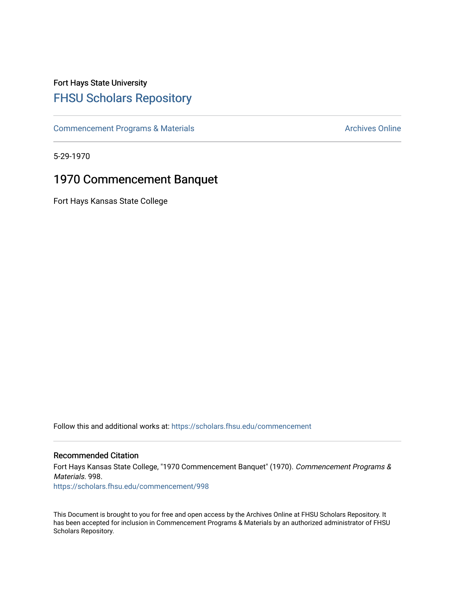# Fort Hays State University [FHSU Scholars Repository](https://scholars.fhsu.edu/)

[Commencement Programs & Materials](https://scholars.fhsu.edu/commencement) **Archives Online** Archives Online

5-29-1970

## 1970 Commencement Banquet

Fort Hays Kansas State College

Follow this and additional works at: [https://scholars.fhsu.edu/commencement](https://scholars.fhsu.edu/commencement?utm_source=scholars.fhsu.edu%2Fcommencement%2F998&utm_medium=PDF&utm_campaign=PDFCoverPages)

### Recommended Citation

Fort Hays Kansas State College, "1970 Commencement Banquet" (1970). Commencement Programs & Materials. 998.

[https://scholars.fhsu.edu/commencement/998](https://scholars.fhsu.edu/commencement/998?utm_source=scholars.fhsu.edu%2Fcommencement%2F998&utm_medium=PDF&utm_campaign=PDFCoverPages)

This Document is brought to you for free and open access by the Archives Online at FHSU Scholars Repository. It has been accepted for inclusion in Commencement Programs & Materials by an authorized administrator of FHSU Scholars Repository.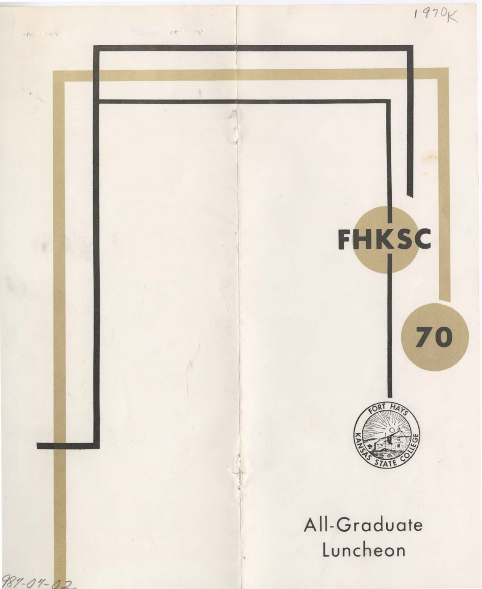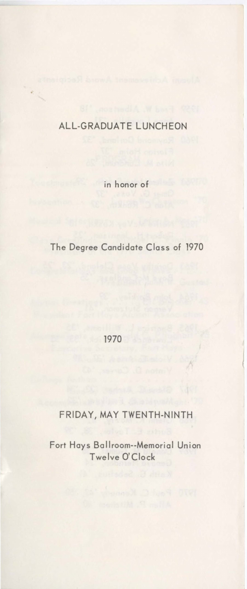## ALL-GRADUATE LUNCHEON

in honor of

The Degree Candidate Class of 1970

1970

### FRIDAY, MAY TWENTH-NINTH

Fort Hays Ballroom--Memorial Union Twelve O'Clock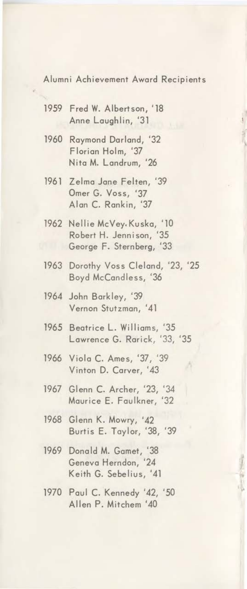Alumni Achievement Award Recipients

- 1959 Fred W. Albertson, '18 Anne Laughlin, '31
- 1960 Raymond Dorland, '32 Florian Holm, '37 Nita **M.** Landrum, '26
- 1961 Zelma Jone Felten, '39 Omer G. Voss, '37 Alon C. Rankin, '37
- 1962 Nellie McVey, Kusko, '10 Robert H. Jennison, '35 George F. Sternberg, '33
- 1963 Dorothy Voss Cleland, '23, '25 Boyd McCandless, '36
- 1964 John Barkley, '39 Vernon Stutzman, '41
- 1965 Beatrice L. Williams, '35 Lawrence G. Rarick, '33, '35
- 1966 Viola C. Ames, '37, '39 Vinton D. Carver, '43
- 1967 Glenn C. Archer, '23, '34 Maurice E. Faulkner, '32
- 1968 Glenn K. Mowry, '42 Burtis E. Taylor, '38, '39
- 1969 Donald **M.** Gamet, '38 Geneva Herndon, Keith G. Sebelius, '41
- 1970 Paul C. Kennedy '42, '50 Allen P. Mitchem '40

*1*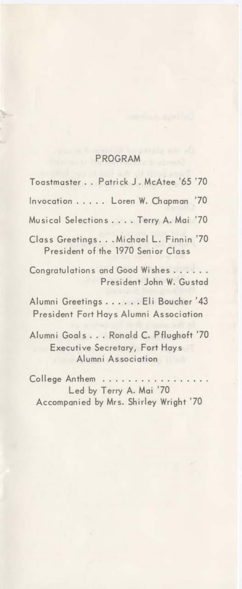#### PROGRAM

Toastmaster .. Patrick J. McAtee '65 '70 Invocation ..... Loren W. Chapman '70 Musical Selections .... Terry A. Mai '70 Class Greetings... Michael L. Finnin '70 President of the 1970 Senior Class Congratulations and Good Wishes ..... . President John W. Gusted Alumni Greetings ...... Eli Boucher '43 President Fort Hays Alumni Association Alumni Goals ... Ronald C. Pflughoft '70 Executive Secretary, Fort Hays Alumni Association College Anthem Led by Terry A. Mai '70

Accompanied by Mrs. Shirley Wright '70